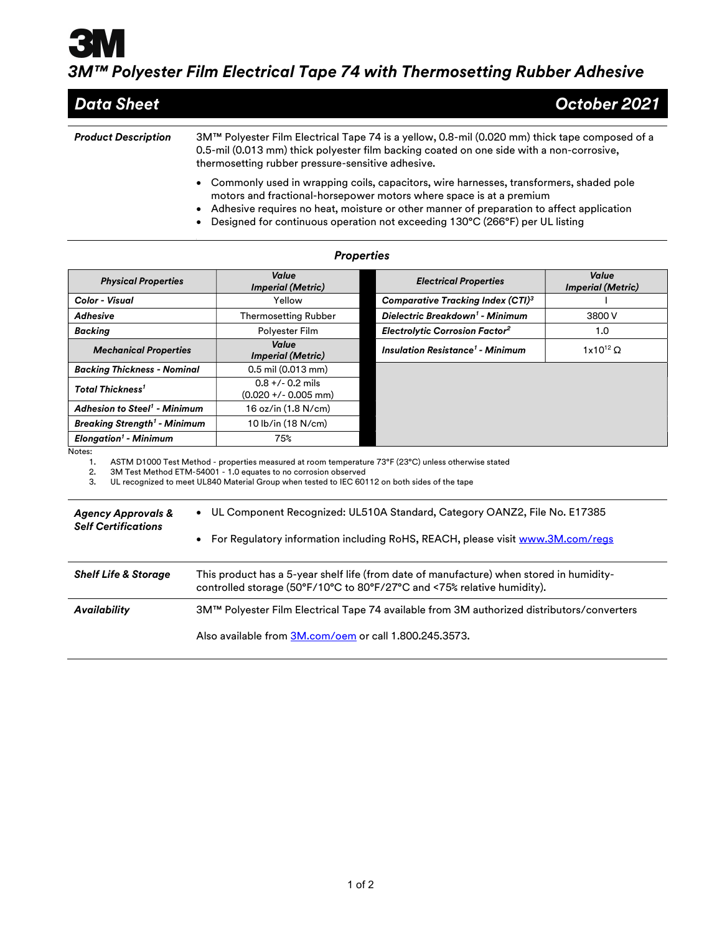## 3M™ Polyester Film Electrical Tape 74 with Thermosetting Rubber Adhesive

| Data Sheet                 | October 2021                                                                                                                                                                                                                                    |
|----------------------------|-------------------------------------------------------------------------------------------------------------------------------------------------------------------------------------------------------------------------------------------------|
| <b>Product Description</b> | 3M™ Polyester Film Electrical Tape 74 is a yellow, 0.8-mil (0.020 mm) thick tape composed of a<br>0.5-mil (0.013 mm) thick polyester film backing coated on one side with a non-corrosive,<br>thermosetting rubber pressure-sensitive adhesive. |
|                            | • Commonly used in wrapping coils, capacitors, wire harnesses, transformers, shaded pole<br>matana and fuastional bancon currence patana whome current is at a museum                                                                           |

- motors and fractional-horsepower motors where space is at a premium Adhesive requires no heat, moisture or other manner of preparation to affect application
- Designed for continuous operation not exceeding 130°C (266°F) per UL listing

| <b>Properties</b>                                                                                                                                                                                                                       |  |                                                                                                                                                                  |                                                                                                      |                                   |  |  |
|-----------------------------------------------------------------------------------------------------------------------------------------------------------------------------------------------------------------------------------------|--|------------------------------------------------------------------------------------------------------------------------------------------------------------------|------------------------------------------------------------------------------------------------------|-----------------------------------|--|--|
| <b>Physical Properties</b>                                                                                                                                                                                                              |  | Value<br><b>Imperial (Metric)</b>                                                                                                                                | <b>Electrical Properties</b>                                                                         | Value<br><b>Imperial (Metric)</b> |  |  |
| Color - Visual                                                                                                                                                                                                                          |  | Yellow                                                                                                                                                           | <b>Comparative Tracking Index (CTI)3</b>                                                             |                                   |  |  |
| <b>Adhesive</b>                                                                                                                                                                                                                         |  | <b>Thermosetting Rubber</b>                                                                                                                                      | Dielectric Breakdown <sup>1</sup> - Minimum                                                          | 3800 V                            |  |  |
| <b>Backing</b>                                                                                                                                                                                                                          |  | Polyester Film                                                                                                                                                   | <b>Electrolytic Corrosion Factor<sup>2</sup></b>                                                     | 1.0                               |  |  |
| <b>Mechanical Properties</b>                                                                                                                                                                                                            |  | Value<br><b>Imperial (Metric)</b>                                                                                                                                | <b>Insulation Resistance<sup>1</sup> - Minimum</b>                                                   | $1x10^{12}$ $\Omega$              |  |  |
| <b>Backing Thickness - Nominal</b>                                                                                                                                                                                                      |  | $0.5$ mil $(0.013$ mm)                                                                                                                                           |                                                                                                      |                                   |  |  |
| <b>Total Thickness<sup>1</sup></b>                                                                                                                                                                                                      |  | $0.8 +/- 0.2$ mils<br>$(0.020 +/- 0.005$ mm)                                                                                                                     |                                                                                                      |                                   |  |  |
| <b>Adhesion to Steel<sup>1</sup> - Minimum</b>                                                                                                                                                                                          |  | 16 oz/in (1.8 N/cm)                                                                                                                                              |                                                                                                      |                                   |  |  |
| <b>Breaking Strength<sup>1</sup> - Minimum</b>                                                                                                                                                                                          |  | 10 lb/in (18 N/cm)                                                                                                                                               |                                                                                                      |                                   |  |  |
| <b>Elongation<sup>1</sup></b> - Minimum                                                                                                                                                                                                 |  | 75%                                                                                                                                                              |                                                                                                      |                                   |  |  |
| Notes:<br>1.<br>2.<br>3.                                                                                                                                                                                                                |  | 3M Test Method ETM-54001 - 1.0 equates to no corrosion observed<br>UL recognized to meet UL840 Material Group when tested to IEC 60112 on both sides of the tape | ASTM D1000 Test Method - properties measured at room temperature 73°F (23°C) unless otherwise stated |                                   |  |  |
| UL Component Recognized: UL510A Standard, Category OANZ2, File No. E17385<br><b>Agency Approvals &amp;</b><br><b>Self Certifications</b><br>For Regulatory information including RoHS, REACH, please visit www.3M.com/regs<br>$\bullet$ |  |                                                                                                                                                                  |                                                                                                      |                                   |  |  |
| <b>Shelf Life &amp; Storage</b><br>This product has a 5-year shelf life (from date of manufacture) when stored in humidity-<br>controlled storage (50°F/10°C to 80°F/27°C and <75% relative humidity).                                  |  |                                                                                                                                                                  |                                                                                                      |                                   |  |  |
| <b>Availability</b>                                                                                                                                                                                                                     |  |                                                                                                                                                                  | 3M™ Polyester Film Electrical Tape 74 available from 3M authorized distributors/converters           |                                   |  |  |
|                                                                                                                                                                                                                                         |  | Also available from 3M.com/oem or call 1.800.245.3573.                                                                                                           |                                                                                                      |                                   |  |  |

## Properties